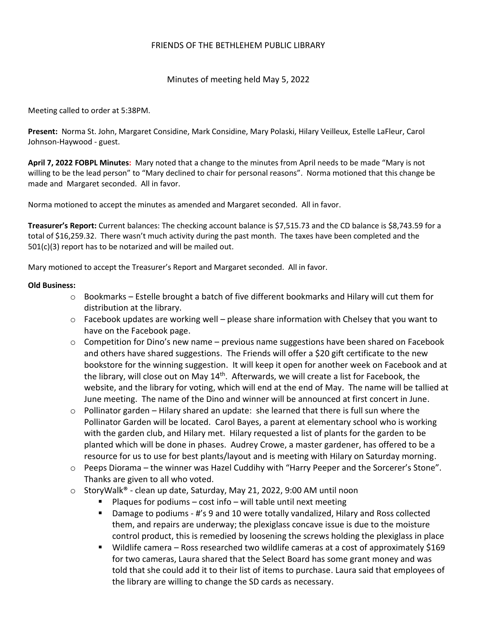## FRIENDS OF THE BETHLEHEM PUBLIC LIBRARY

Minutes of meeting held May 5, 2022

Meeting called to order at 5:38PM.

**Present:** Norma St. John, Margaret Considine, Mark Considine, Mary Polaski, Hilary Veilleux, Estelle LaFleur, Carol Johnson-Haywood - guest.

**April 7, 2022 FOBPL Minutes:** Mary noted that a change to the minutes from April needs to be made "Mary is not willing to be the lead person" to "Mary declined to chair for personal reasons". Norma motioned that this change be made and Margaret seconded. All in favor.

Norma motioned to accept the minutes as amended and Margaret seconded. All in favor.

**Treasurer's Report:** Current balances: The checking account balance is \$7,515.73 and the CD balance is \$8,743.59 for a total of \$16,259.32. There wasn't much activity during the past month. The taxes have been completed and the 501(c)(3) report has to be notarized and will be mailed out.

Mary motioned to accept the Treasurer's Report and Margaret seconded. All in favor.

## **Old Business:**

- $\circ$  Bookmarks Estelle brought a batch of five different bookmarks and Hilary will cut them for distribution at the library.
- $\circ$  Facebook updates are working well please share information with Chelsey that you want to have on the Facebook page.
- o Competition for Dino's new name previous name suggestions have been shared on Facebook and others have shared suggestions. The Friends will offer a \$20 gift certificate to the new bookstore for the winning suggestion. It will keep it open for another week on Facebook and at the library, will close out on May 14<sup>th</sup>. Afterwards, we will create a list for Facebook, the website, and the library for voting, which will end at the end of May. The name will be tallied at June meeting. The name of the Dino and winner will be announced at first concert in June.
- $\circ$  Pollinator garden Hilary shared an update: she learned that there is full sun where the Pollinator Garden will be located. Carol Bayes, a parent at elementary school who is working with the garden club, and Hilary met. Hilary requested a list of plants for the garden to be planted which will be done in phases. Audrey Crowe, a master gardener, has offered to be a resource for us to use for best plants/layout and is meeting with Hilary on Saturday morning.
- $\circ$  Peeps Diorama the winner was Hazel Cuddihy with "Harry Peeper and the Sorcerer's Stone". Thanks are given to all who voted.
- $\circ$  StoryWalk® clean up date, Saturday, May 21, 2022, 9:00 AM until noon
	- Plaques for podiums cost info will table until next meeting
	- Damage to podiums #'s 9 and 10 were totally vandalized, Hilary and Ross collected them, and repairs are underway; the plexiglass concave issue is due to the moisture control product, this is remedied by loosening the screws holding the plexiglass in place
	- Wildlife camera Ross researched two wildlife cameras at a cost of approximately \$169 for two cameras, Laura shared that the Select Board has some grant money and was told that she could add it to their list of items to purchase. Laura said that employees of the library are willing to change the SD cards as necessary.